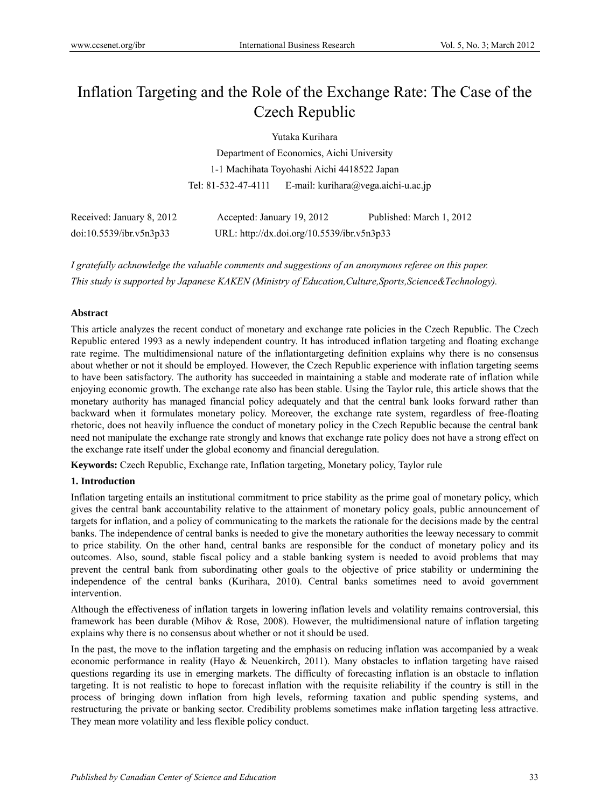# Inflation Targeting and the Role of the Exchange Rate: The Case of the Czech Republic

Yutaka Kurihara

Department of Economics, Aichi University 1-1 Machihata Toyohashi Aichi 4418522 Japan Tel: 81-532-47-4111 E-mail: kurihara@vega.aichi-u.ac.jp

| Received: January 8, 2012 | Accepted: January 19, 2012                 | Published: March 1, 2012 |  |  |
|---------------------------|--------------------------------------------|--------------------------|--|--|
| doi:10.5539/ibr.v5n3p33   | URL: http://dx.doi.org/10.5539/ibr.v5n3p33 |                          |  |  |

*I gratefully acknowledge the valuable comments and suggestions of an anonymous referee on this paper. This study is supported by Japanese KAKEN (Ministry of Education,Culture,Sports,Science&Technology).* 

# **Abstract**

This article analyzes the recent conduct of monetary and exchange rate policies in the Czech Republic. The Czech Republic entered 1993 as a newly independent country. It has introduced inflation targeting and floating exchange rate regime. The multidimensional nature of the inflationtargeting definition explains why there is no consensus about whether or not it should be employed. However, the Czech Republic experience with inflation targeting seems to have been satisfactory. The authority has succeeded in maintaining a stable and moderate rate of inflation while enjoying economic growth. The exchange rate also has been stable. Using the Taylor rule, this article shows that the monetary authority has managed financial policy adequately and that the central bank looks forward rather than backward when it formulates monetary policy. Moreover, the exchange rate system, regardless of free-floating rhetoric, does not heavily influence the conduct of monetary policy in the Czech Republic because the central bank need not manipulate the exchange rate strongly and knows that exchange rate policy does not have a strong effect on the exchange rate itself under the global economy and financial deregulation.

**Keywords:** Czech Republic, Exchange rate, Inflation targeting, Monetary policy, Taylor rule

## **1. Introduction**

Inflation targeting entails an institutional commitment to price stability as the prime goal of monetary policy, which gives the central bank accountability relative to the attainment of monetary policy goals, public announcement of targets for inflation, and a policy of communicating to the markets the rationale for the decisions made by the central banks. The independence of central banks is needed to give the monetary authorities the leeway necessary to commit to price stability. On the other hand, central banks are responsible for the conduct of monetary policy and its outcomes. Also, sound, stable fiscal policy and a stable banking system is needed to avoid problems that may prevent the central bank from subordinating other goals to the objective of price stability or undermining the independence of the central banks (Kurihara, 2010). Central banks sometimes need to avoid government intervention.

Although the effectiveness of inflation targets in lowering inflation levels and volatility remains controversial, this framework has been durable (Mihov & Rose, 2008). However, the multidimensional nature of inflation targeting explains why there is no consensus about whether or not it should be used.

In the past, the move to the inflation targeting and the emphasis on reducing inflation was accompanied by a weak economic performance in reality (Hayo & Neuenkirch, 2011). Many obstacles to inflation targeting have raised questions regarding its use in emerging markets. The difficulty of forecasting inflation is an obstacle to inflation targeting. It is not realistic to hope to forecast inflation with the requisite reliability if the country is still in the process of bringing down inflation from high levels, reforming taxation and public spending systems, and restructuring the private or banking sector. Credibility problems sometimes make inflation targeting less attractive. They mean more volatility and less flexible policy conduct.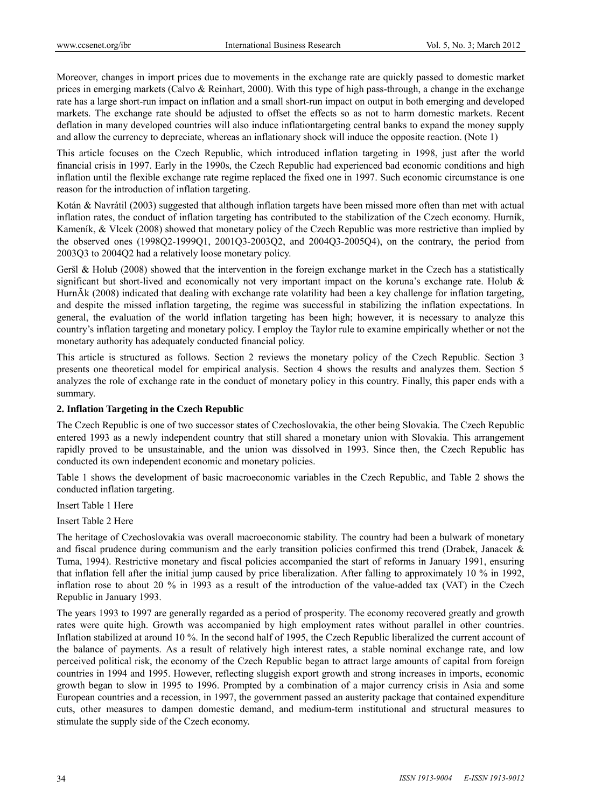Moreover, changes in import prices due to movements in the exchange rate are quickly passed to domestic market prices in emerging markets (Calvo & Reinhart, 2000). With this type of high pass-through, a change in the exchange rate has a large short-run impact on inflation and a small short-run impact on output in both emerging and developed markets. The exchange rate should be adjusted to offset the effects so as not to harm domestic markets. Recent deflation in many developed countries will also induce inflationtargeting central banks to expand the money supply and allow the currency to depreciate, whereas an inflationary shock will induce the opposite reaction. (Note 1)

This article focuses on the Czech Republic, which introduced inflation targeting in 1998, just after the world financial crisis in 1997. Early in the 1990s, the Czech Republic had experienced bad economic conditions and high inflation until the flexible exchange rate regime replaced the fixed one in 1997. Such economic circumstance is one reason for the introduction of inflation targeting.

Kotán & Navrátil (2003) suggested that although inflation targets have been missed more often than met with actual inflation rates, the conduct of inflation targeting has contributed to the stabilization of the Czech economy. Hurník, Kameník, & Vlcek (2008) showed that monetary policy of the Czech Republic was more restrictive than implied by the observed ones (1998Q2-1999Q1, 2001Q3-2003Q2, and 2004Q3-2005Q4), on the contrary, the period from 2003Q3 to 2004Q2 had a relatively loose monetary policy.

Geršl & Holub (2008) showed that the intervention in the foreign exchange market in the Czech has a statistically significant but short-lived and economically not very important impact on the koruna's exchange rate. Holub & HurnĂk (2008) indicated that dealing with exchange rate volatility had been a key challenge for inflation targeting, and despite the missed inflation targeting, the regime was successful in stabilizing the inflation expectations. In general, the evaluation of the world inflation targeting has been high; however, it is necessary to analyze this country's inflation targeting and monetary policy. I employ the Taylor rule to examine empirically whether or not the monetary authority has adequately conducted financial policy.

This article is structured as follows. Section 2 reviews the monetary policy of the Czech Republic. Section 3 presents one theoretical model for empirical analysis. Section 4 shows the results and analyzes them. Section 5 analyzes the role of exchange rate in the conduct of monetary policy in this country. Finally, this paper ends with a summary.

## **2. Inflation Targeting in the Czech Republic**

The Czech Republic is one of two successor states of Czechoslovakia, the other being Slovakia. The Czech Republic entered 1993 as a newly independent country that still shared a monetary union with Slovakia. This arrangement rapidly proved to be unsustainable, and the union was dissolved in 1993. Since then, the Czech Republic has conducted its own independent economic and monetary policies.

Table 1 shows the development of basic macroeconomic variables in the Czech Republic, and Table 2 shows the conducted inflation targeting.

Insert Table 1 Here

Insert Table 2 Here

The heritage of Czechoslovakia was overall macroeconomic stability. The country had been a bulwark of monetary and fiscal prudence during communism and the early transition policies confirmed this trend (Drabek, Janacek & Tuma, 1994). Restrictive monetary and fiscal policies accompanied the start of reforms in January 1991, ensuring that inflation fell after the initial jump caused by price liberalization. After falling to approximately 10 % in 1992, inflation rose to about 20 % in 1993 as a result of the introduction of the value-added tax (VAT) in the Czech Republic in January 1993.

The years 1993 to 1997 are generally regarded as a period of prosperity. The economy recovered greatly and growth rates were quite high. Growth was accompanied by high employment rates without parallel in other countries. Inflation stabilized at around 10 %. In the second half of 1995, the Czech Republic liberalized the current account of the balance of payments. As a result of relatively high interest rates, a stable nominal exchange rate, and low perceived political risk, the economy of the Czech Republic began to attract large amounts of capital from foreign countries in 1994 and 1995. However, reflecting sluggish export growth and strong increases in imports, economic growth began to slow in 1995 to 1996. Prompted by a combination of a major currency crisis in Asia and some European countries and a recession, in 1997, the government passed an austerity package that contained expenditure cuts, other measures to dampen domestic demand, and medium-term institutional and structural measures to stimulate the supply side of the Czech economy.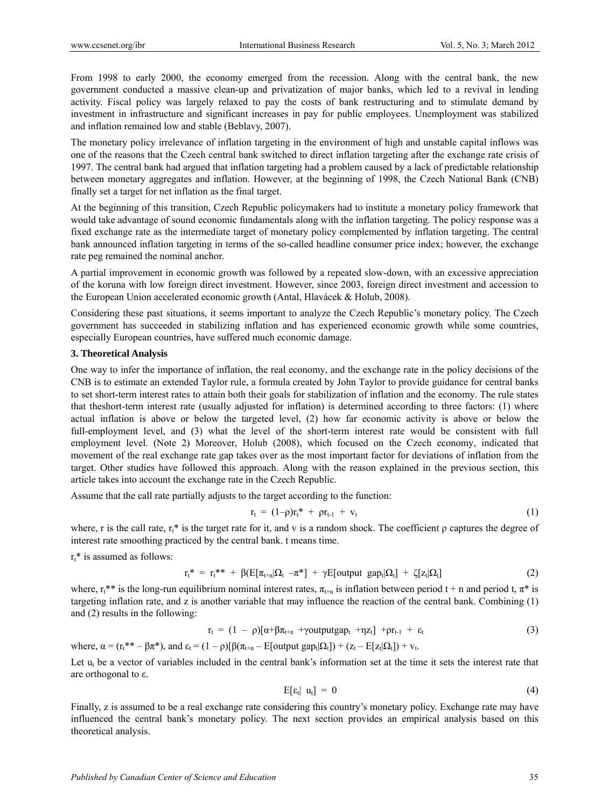From 1998 to early 2000, the economy emerged from the recession. Along with the central bank, the new government conducted a massive clean-up and privatization of major banks, which led to a revival in lending activity. Fiscal policy was largely relaxed to pay the costs of bank restructuring and to stimulate demand by investment in infrastructure and significant increases in pay for public employees. Unemployment was stabilized and inflation remained low and stable (Beblavy, 2007).

The monetary policy irrelevance of inflation targeting in the environment of high and unstable capital inflows was one of the reasons that the Czech central bank switched to direct inflation targeting after the exchange rate crisis of 1997. The central bank had argued that inflation targeting had a problem caused by a lack of predictable relationship between monetary aggregates and inflation. However, at the beginning of 1998, the Czech National Bank (CNB) finally set a target for net inflation as the final target.

At the beginning of this transition, Czech Republic policymakers had to institute a monetary policy framework that would take advantage of sound economic fundamentals along with the inflation targeting. The policy response was a fixed exchange rate as the intermediate target of monetary policy complemented by inflation targeting. The central bank announced inflation targeting in terms of the so-called headline consumer price index; however, the exchange rate peg remained the nominal anchor.

A partial improvement in economic growth was followed by a repeated slow-down, with an excessive appreciation of the koruna with low foreign direct investment. However, since 2003, foreign direct investment and accession to the European Union accelerated economic growth (Antal, Hlavácek & Holub, 2008).

Considering these past situations, it seems important to analyze the Czech Republic's monetary policy. The Czech government has succeeded in stabilizing inflation and has experienced economic growth while some countries, especially European countries, have suffered much economic damage.

## **3. Theoretical Analysis**

One way to infer the importance of inflation, the real economy, and the exchange rate in the policy decisions of the CNB is to estimate an extended Taylor rule, a formula created by John Taylor to provide guidance for central banks to set short-term interest rates to attain both their goals for stabilization of inflation and the economy. The rule states that theshort-term interest rate (usually adjusted for inflation) is determined according to three factors: (1) where actual inflation is above or below the targeted level, (2) how far economic activity is above or below the full-employment level, and (3) what the level of the short-term interest rate would be consistent with full employment level. (Note 2) Moreover, Holub (2008), which focused on the Czech economy, indicated that movement of the real exchange rate gap takes over as the most important factor for deviations of inflation from the target. Other studies have followed this approach. Along with the reason explained in the previous section, this article takes into account the exchange rate in the Czech Republic.

Assume that the call rate partially adjusts to the target according to the function:

$$
r_t = (1-\rho)r_t^* + \rho r_{t-1} + v_t \tag{1}
$$

where, r is the call rate,  $r_t^*$  is the target rate for it, and v is a random shock. The coefficient  $\rho$  captures the degree of interest rate smoothing practiced by the central bank. t means time.

 $r_t^*$  is assumed as follows:

$$
r_t^* = r_t^{**} + \beta \left( E[\pi_{t+n} | \Omega_t - \pi^*] + \gamma E[\text{output gap}_t | \Omega_t] + \zeta [z_t | \Omega_t] \right) \tag{2}
$$

where,  $r_1^{**}$  is the long-run equilibrium nominal interest rates,  $\pi_{t+n}$  is inflation between period t + n and period t,  $\pi^*$  is targeting inflation rate, and z is another variable that may influence the reaction of the central bank. Combining (1) and (2) results in the following:

$$
r_{t} = (1 - \rho)[\alpha + \beta \pi_{t+n} + \gamma outputgap_{t} + \eta z_{t}] + \rho r_{t-1} + \varepsilon_{t}
$$
\n(3)

where,  $\alpha = (r_t^{**} - \beta \pi^*)$ , and  $\varepsilon_t = (1 - \rho)[\beta(\pi_{t+n} - E[\text{output gap}_t | \Omega_t]) + (z_t - E[z_t | \Omega_t]) + v_t$ .

Let  $u_t$  be a vector of variables included in the central bank's information set at the time it sets the interest rate that are orthogonal to ε.

$$
E[\epsilon_t | u_t] = 0 \tag{4}
$$

Finally, z is assumed to be a real exchange rate considering this country's monetary policy. Exchange rate may have influenced the central bank's monetary policy. The next section provides an empirical analysis based on this theoretical analysis.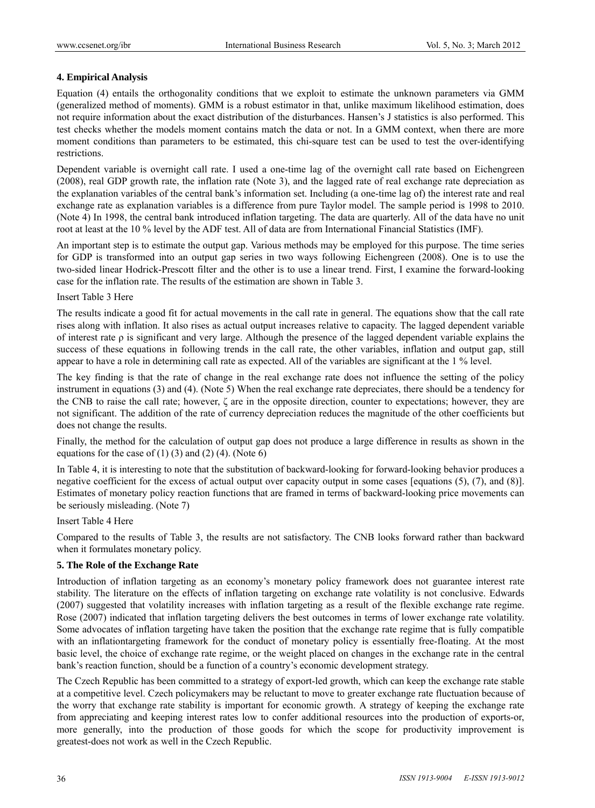## **4. Empirical Analysis**

Equation (4) entails the orthogonality conditions that we exploit to estimate the unknown parameters via GMM (generalized method of moments). GMM is a robust estimator in that, unlike maximum likelihood estimation, does not require information about the exact distribution of the disturbances. Hansen's J statistics is also performed. This test checks whether the models moment contains match the data or not. In a GMM context, when there are more moment conditions than parameters to be estimated, this chi-square test can be used to test the over-identifying restrictions.

Dependent variable is overnight call rate. I used a one-time lag of the overnight call rate based on Eichengreen (2008), real GDP growth rate, the inflation rate (Note 3), and the lagged rate of real exchange rate depreciation as the explanation variables of the central bank's information set. Including (a one-time lag of) the interest rate and real exchange rate as explanation variables is a difference from pure Taylor model. The sample period is 1998 to 2010. (Note 4) In 1998, the central bank introduced inflation targeting. The data are quarterly. All of the data have no unit root at least at the 10 % level by the ADF test. All of data are from International Financial Statistics (IMF).

An important step is to estimate the output gap. Various methods may be employed for this purpose. The time series for GDP is transformed into an output gap series in two ways following Eichengreen (2008). One is to use the two-sided linear Hodrick-Prescott filter and the other is to use a linear trend. First, I examine the forward-looking case for the inflation rate. The results of the estimation are shown in Table 3.

## Insert Table 3 Here

The results indicate a good fit for actual movements in the call rate in general. The equations show that the call rate rises along with inflation. It also rises as actual output increases relative to capacity. The lagged dependent variable of interest rate  $\rho$  is significant and very large. Although the presence of the lagged dependent variable explains the success of these equations in following trends in the call rate, the other variables, inflation and output gap, still appear to have a role in determining call rate as expected. All of the variables are significant at the 1 % level.

The key finding is that the rate of change in the real exchange rate does not influence the setting of the policy instrument in equations (3) and (4). (Note 5) When the real exchange rate depreciates, there should be a tendency for the CNB to raise the call rate; however, ζ are in the opposite direction, counter to expectations; however, they are not significant. The addition of the rate of currency depreciation reduces the magnitude of the other coefficients but does not change the results.

Finally, the method for the calculation of output gap does not produce a large difference in results as shown in the equations for the case of  $(1)$   $(3)$  and  $(2)$   $(4)$ . (Note 6)

In Table 4, it is interesting to note that the substitution of backward-looking for forward-looking behavior produces a negative coefficient for the excess of actual output over capacity output in some cases [equations (5), (7), and (8)]. Estimates of monetary policy reaction functions that are framed in terms of backward-looking price movements can be seriously misleading. (Note 7)

# Insert Table 4 Here

Compared to the results of Table 3, the results are not satisfactory. The CNB looks forward rather than backward when it formulates monetary policy.

## **5. The Role of the Exchange Rate**

Introduction of inflation targeting as an economy's monetary policy framework does not guarantee interest rate stability. The literature on the effects of inflation targeting on exchange rate volatility is not conclusive. Edwards (2007) suggested that volatility increases with inflation targeting as a result of the flexible exchange rate regime. Rose (2007) indicated that inflation targeting delivers the best outcomes in terms of lower exchange rate volatility. Some advocates of inflation targeting have taken the position that the exchange rate regime that is fully compatible with an inflationtargeting framework for the conduct of monetary policy is essentially free-floating. At the most basic level, the choice of exchange rate regime, or the weight placed on changes in the exchange rate in the central bank's reaction function, should be a function of a country's economic development strategy.

The Czech Republic has been committed to a strategy of export-led growth, which can keep the exchange rate stable at a competitive level. Czech policymakers may be reluctant to move to greater exchange rate fluctuation because of the worry that exchange rate stability is important for economic growth. A strategy of keeping the exchange rate from appreciating and keeping interest rates low to confer additional resources into the production of exports-or, more generally, into the production of those goods for which the scope for productivity improvement is greatest-does not work as well in the Czech Republic.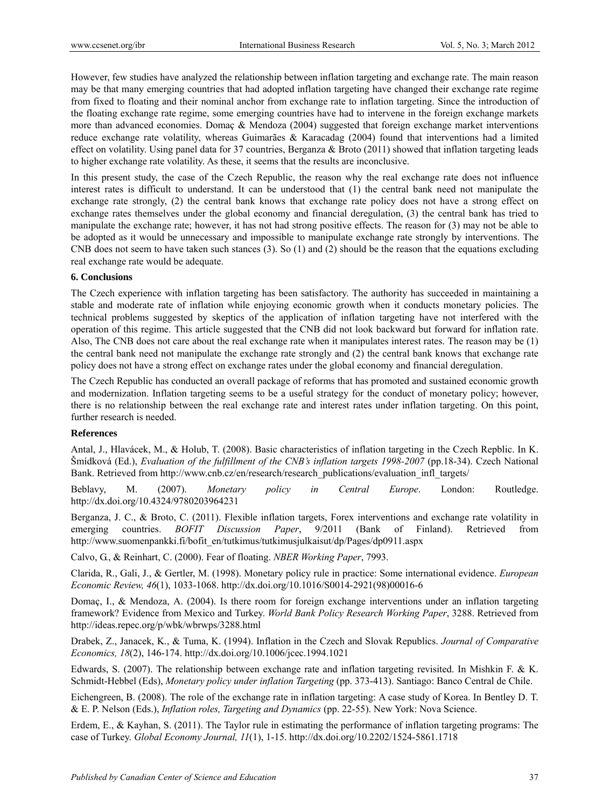However, few studies have analyzed the relationship between inflation targeting and exchange rate. The main reason may be that many emerging countries that had adopted inflation targeting have changed their exchange rate regime from fixed to floating and their nominal anchor from exchange rate to inflation targeting. Since the introduction of the floating exchange rate regime, some emerging countries have had to intervene in the foreign exchange markets more than advanced economies. Domaç & Mendoza (2004) suggested that foreign exchange market interventions reduce exchange rate volatility, whereas Guimarães & Karacadag (2004) found that interventions had a limited effect on volatility. Using panel data for 37 countries, Berganza & Broto (2011) showed that inflation targeting leads to higher exchange rate volatility. As these, it seems that the results are inconclusive.

In this present study, the case of the Czech Republic, the reason why the real exchange rate does not influence interest rates is difficult to understand. It can be understood that (1) the central bank need not manipulate the exchange rate strongly, (2) the central bank knows that exchange rate policy does not have a strong effect on exchange rates themselves under the global economy and financial deregulation, (3) the central bank has tried to manipulate the exchange rate; however, it has not had strong positive effects. The reason for (3) may not be able to be adopted as it would be unnecessary and impossible to manipulate exchange rate strongly by interventions. The CNB does not seem to have taken such stances (3). So (1) and (2) should be the reason that the equations excluding real exchange rate would be adequate.

## **6. Conclusions**

The Czech experience with inflation targeting has been satisfactory. The authority has succeeded in maintaining a stable and moderate rate of inflation while enjoying economic growth when it conducts monetary policies. The technical problems suggested by skeptics of the application of inflation targeting have not interfered with the operation of this regime. This article suggested that the CNB did not look backward but forward for inflation rate. Also, The CNB does not care about the real exchange rate when it manipulates interest rates. The reason may be (1) the central bank need not manipulate the exchange rate strongly and (2) the central bank knows that exchange rate policy does not have a strong effect on exchange rates under the global economy and financial deregulation.

The Czech Republic has conducted an overall package of reforms that has promoted and sustained economic growth and modernization. Inflation targeting seems to be a useful strategy for the conduct of monetary policy; however, there is no relationship between the real exchange rate and interest rates under inflation targeting. On this point, further research is needed.

## **References**

Antal, J., Hlavácek, M., & Holub, T. (2008). Basic characteristics of inflation targeting in the Czech Repblic. In K. Šmídková (Ed.), *Evaluation of the fulfillment of the CNB's inflation targets 1998-2007* (pp.18-34). Czech National Bank. Retrieved from http://www.cnb.cz/en/research/research\_publications/evaluation\_infl\_targets/

Beblavy, M. (2007). *Monetary policy in Central Europe*. London: Routledge. http://dx.doi.org/10.4324/9780203964231

Berganza, J. C., & Broto, C. (2011). Flexible inflation targets, Forex interventions and exchange rate volatility in emerging countries. *BOFIT Discussion Paper*, 9/2011 (Bank of Finland). Retrieved from http://www.suomenpankki.fi/bofit\_en/tutkimus/tutkimusjulkaisut/dp/Pages/dp0911.aspx

Calvo, G., & Reinhart, C. (2000). Fear of floating. *NBER Working Paper*, 7993.

Clarida, R., Gali, J., & Gertler, M. (1998). Monetary policy rule in practice: Some international evidence. *European Economic Review, 46*(1), 1033-1068. http://dx.doi.org/10.1016/S0014-2921(98)00016-6

Domaç, I., & Mendoza, A. (2004). Is there room for foreign exchange interventions under an inflation targeting framework? Evidence from Mexico and Turkey. *World Bank Policy Research Working Paper*, 3288. Retrieved from http://ideas.repec.org/p/wbk/wbrwps/3288.html

Drabek, Z., Janacek, K., & Tuma, K. (1994). Inflation in the Czech and Slovak Republics. *Journal of Comparative Economics, 18*(2), 146-174. http://dx.doi.org/10.1006/jcec.1994.1021

Edwards, S. (2007). The relationship between exchange rate and inflation targeting revisited. In Mishkin F. & K. Schmidt-Hebbel (Eds), *Monetary policy under inflation Targeting* (pp. 373-413). Santiago: Banco Central de Chile.

Eichengreen, B. (2008). The role of the exchange rate in inflation targeting: A case study of Korea. In Bentley D. T. & E. P. Nelson (Eds.), *Inflation roles, Targeting and Dynamics* (pp. 22-55). New York: Nova Science.

Erdem, E., & Kayhan, S. (2011). The Taylor rule in estimating the performance of inflation targeting programs: The case of Turkey. *Global Economy Journal, 11*(1), 1-15. http://dx.doi.org/10.2202/1524-5861.1718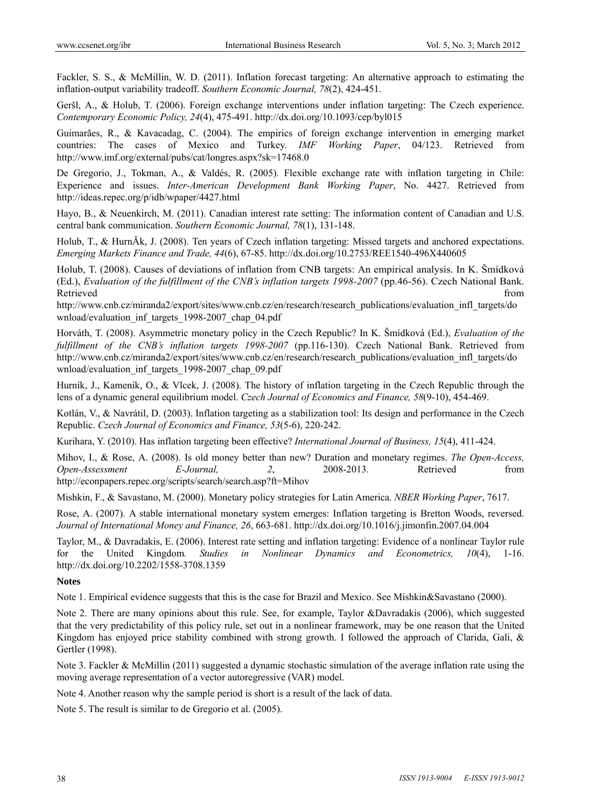Fackler, S. S., & McMillin, W. D. (2011). Inflation forecast targeting: An alternative approach to estimating the inflation-output variability tradeoff. *Southern Economic Journal, 78*(2), 424-451.

Geršl, A., & Holub, T. (2006). Foreign exchange interventions under inflation targeting: The Czech experience. *Contemporary Economic Policy, 24*(4), 475-491. http://dx.doi.org/10.1093/cep/byl015

Guimarães, R., & Kavacadag, C. (2004). The empirics of foreign exchange intervention in emerging market countries: The cases of Mexico and Turkey. *IMF Working Paper*, 04/123. Retrieved from http://www.imf.org/external/pubs/cat/longres.aspx?sk=17468.0

De Gregorio, J., Tokman, A., & Valdés, R. (2005). Flexible exchange rate with inflation targeting in Chile: Experience and issues. *Inter-American Development Bank Working Paper*, No. 4427. Retrieved from http://ideas.repec.org/p/idb/wpaper/4427.html

Hayo, B., & Neuenkirch, M. (2011). Canadian interest rate setting: The information content of Canadian and U.S. central bank communication. *Southern Economic Journal, 78*(1), 131-148.

Holub, T., & HurnĂk, J. (2008). Ten years of Czech inflation targeting: Missed targets and anchored expectations. *Emerging Markets Finance and Trade, 44*(6), 67-85. http://dx.doi.org/10.2753/REE1540-496X440605

Holub, T. (2008). Causes of deviations of inflation from CNB targets: An empirical analysis. In K. Šmídková (Ed.), *Evaluation of the fulfillment of the CNB's inflation targets 1998-2007* (pp.46-56). Czech National Bank. Retrieved that the contract of the contract of the contract of the contract of the contract of the contract of the contract of the contract of the contract of the contract of the contract of the contract of the contract of

http://www.cnb.cz/miranda2/export/sites/www.cnb.cz/en/research/research\_publications/evaluation\_infl\_targets/do wnload/evaluation\_inf\_targets\_1998-2007\_chap\_04.pdf

Horváth, T. (2008). Asymmetric monetary policy in the Czech Republic? In K. Šmídková (Ed.), *Evaluation of the fulfillment of the CNB's inflation targets 1998-2007* (pp.116-130). Czech National Bank. Retrieved from http://www.cnb.cz/miranda2/export/sites/www.cnb.cz/en/research/research\_publications/evaluation\_infl\_targets/do wnload/evaluation\_inf\_targets\_1998-2007\_chap\_09.pdf

Hurník, J., Kameník, O., & Vlcek, J. (2008). The history of inflation targeting in the Czech Republic through the lens of a dynamic general equilibrium model. *Czech Journal of Economics and Finance, 58*(9-10), 454-469.

Kotlán, V., & Navrátil, D. (2003). Inflation targeting as a stabilization tool: Its design and performance in the Czech Republic. *Czech Journal of Economics and Finance, 53*(5-6), 220-242.

Kurihara, Y. (2010). Has inflation targeting been effective? *International Journal of Business, 15*(4), 411-424.

Mihov, I., & Rose, A. (2008). Is old money better than new? Duration and monetary regimes. *The Open-Access, Open-Assessment E-Journal, 2*, 2008-2013. Retrieved from http://econpapers.repec.org/scripts/search/search.asp?ft=Mihov

Mishkin, F., & Savastano, M. (2000). Monetary policy strategies for Latin America. *NBER Working Paper*, 7617.

Rose, A. (2007). A stable international monetary system emerges: Inflation targeting is Bretton Woods, reversed. *Journal of International Money and Finance, 26*, 663-681. http://dx.doi.org/10.1016/j.jimonfin.2007.04.004

Taylor, M., & Davradakis, E. (2006). Interest rate setting and inflation targeting: Evidence of a nonlinear Taylor rule for the United Kingdom*. Studies in Nonlinear Dynamics and Econometrics, 10*(4), 1-16. http://dx.doi.org/10.2202/1558-3708.1359

## **Notes**

Note 1. Empirical evidence suggests that this is the case for Brazil and Mexico. See Mishkin&Savastano (2000).

Note 2. There are many opinions about this rule. See, for example, Taylor &Davradakis (2006), which suggested that the very predictability of this policy rule, set out in a nonlinear framework, may be one reason that the United Kingdom has enjoyed price stability combined with strong growth. I followed the approach of Clarida, Gali, & Gertler (1998).

Note 3. Fackler & McMillin (2011) suggested a dynamic stochastic simulation of the average inflation rate using the moving average representation of a vector autoregressive (VAR) model.

Note 4. Another reason why the sample period is short is a result of the lack of data.

Note 5. The result is similar to de Gregorio et al. (2005).